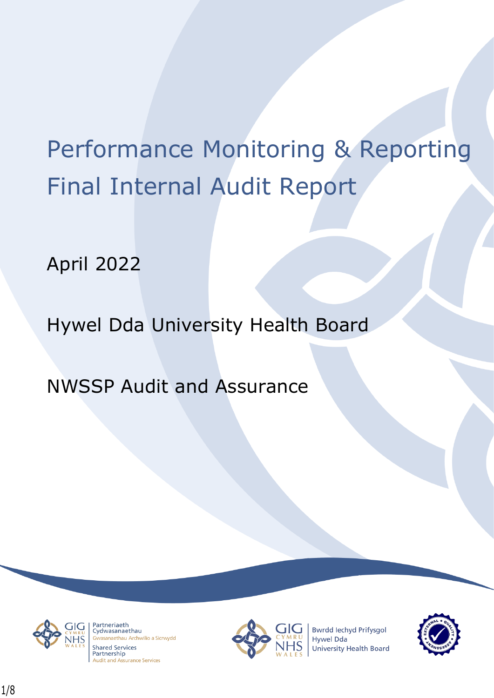# Performance Monitoring & Reporting Final Internal Audit Report

April 2022

Hywel Dda University Health Board

NWSSP Audit and Assurance



Partneriaeth rartheriaeth<br>Cydwasanaethau anaethau Archwilio a Sicrwydd **Shared Services** Partnership **Audit and Assurance Services** 



**Bwrdd lechyd Prifysgol Hywel Dda** University Health Board

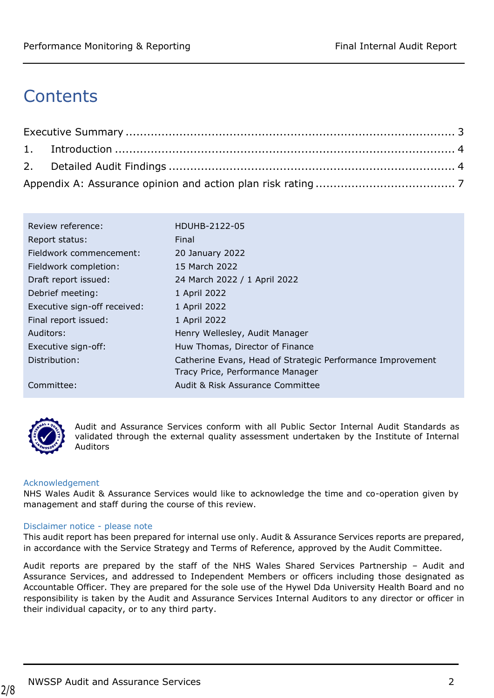# **Contents**

| Review reference:            | HDUHB-2122-05                                              |
|------------------------------|------------------------------------------------------------|
| Report status:               | Final                                                      |
| Fieldwork commencement:      | 20 January 2022                                            |
| Fieldwork completion:        | 15 March 2022                                              |
| Draft report issued:         | 24 March 2022 / 1 April 2022                               |
| Debrief meeting:             | 1 April 2022                                               |
| Executive sign-off received: | 1 April 2022                                               |
| Final report issued:         | 1 April 2022                                               |
| Auditors:                    | Henry Wellesley, Audit Manager                             |
| Executive sign-off:          | Huw Thomas, Director of Finance                            |
| Distribution:                | Catherine Evans, Head of Strategic Performance Improvement |
|                              | Tracy Price, Performance Manager                           |
| Committee:                   | Audit & Risk Assurance Committee                           |



2/8

Audit and Assurance Services conform with all Public Sector Internal Audit Standards as validated through the external quality assessment undertaken by the Institute of Internal Auditors

#### Acknowledgement

NHS Wales Audit & Assurance Services would like to acknowledge the time and co-operation given by management and staff during the course of this review.

#### Disclaimer notice - please note

This audit report has been prepared for internal use only. Audit & Assurance Services reports are prepared, in accordance with the Service Strategy and Terms of Reference, approved by the Audit Committee.

Audit reports are prepared by the staff of the NHS Wales Shared Services Partnership – Audit and Assurance Services, and addressed to Independent Members or officers including those designated as Accountable Officer. They are prepared for the sole use of the Hywel Dda University Health Board and no responsibility is taken by the Audit and Assurance Services Internal Auditors to any director or officer in their individual capacity, or to any third party.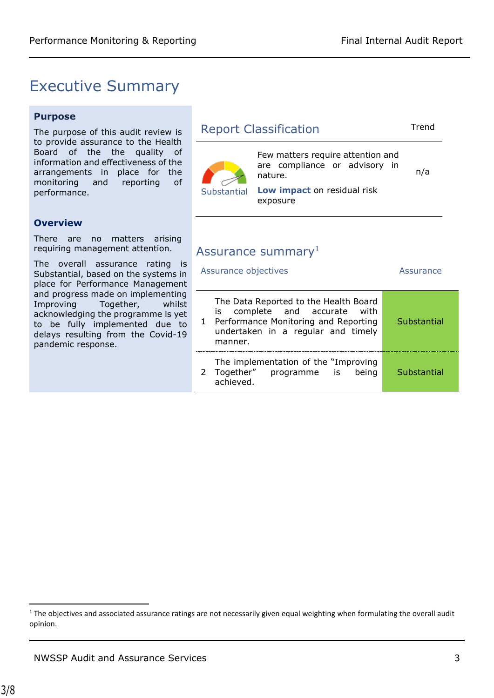## <span id="page-2-0"></span>Executive Summary

#### **Purpose**

The purpose of this audit review to provide assurance to the Healt Board of the the quality information and effectiveness of the arrangements in place for th monitoring and reporting performance.

#### **Overview**

There are no matters arisin requiring management attention.

The overall assurance rating Substantial, based on the systems place for Performance Manageme and progress made on implementi Improving Together, while acknowledging the programme is to be fully implemented due delays resulting from the Covidpandemic response.

| is                              | <b>Report Classification</b>                                                                                                                                                              |                                                                               |           |
|---------------------------------|-------------------------------------------------------------------------------------------------------------------------------------------------------------------------------------------|-------------------------------------------------------------------------------|-----------|
| th<br>of<br>١e<br>١e<br>of      |                                                                                                                                                                                           | Few matters require attention and<br>are compliance or advisory in<br>nature. | n/a       |
|                                 | Low impact on residual risk<br>Substantial<br>exposure                                                                                                                                    |                                                                               |           |
| ١q                              |                                                                                                                                                                                           |                                                                               |           |
|                                 |                                                                                                                                                                                           | Assurance summary <sup>1</sup>                                                |           |
| is<br>s in<br>ent               | Assurance objectives                                                                                                                                                                      |                                                                               | Assurance |
| ing<br>ilst<br>yet<br>to<br>-19 | The Data Reported to the Health Board<br>complete and accurate<br>with<br>is<br>Performance Monitoring and Reporting<br>Substantial<br>1<br>undertaken in a regular and timely<br>manner. |                                                                               |           |
|                                 |                                                                                                                                                                                           |                                                                               |           |

2 Together" The implementation of the "Improving programme is being achieved. **Substantial** 

 $1$  The objectives and associated assurance ratings are not necessarily given equal weighting when formulating the overall audit opinion.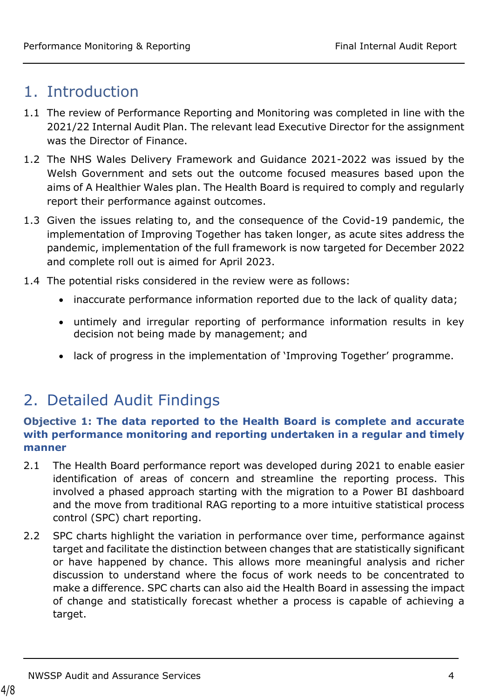# <span id="page-3-0"></span>1. Introduction

- 1.1 The review of Performance Reporting and Monitoring was completed in line with the 2021/22 Internal Audit Plan. The relevant lead Executive Director for the assignment was the Director of Finance.
- 1.2 The NHS Wales Delivery Framework and Guidance 2021-2022 was issued by the Welsh Government and sets out the outcome focused measures based upon the aims of A Healthier Wales plan. The Health Board is required to comply and regularly report their performance against outcomes.
- 1.3 Given the issues relating to, and the consequence of the Covid-19 pandemic, the implementation of Improving Together has taken longer, as acute sites address the pandemic, implementation of the full framework is now targeted for December 2022 and complete roll out is aimed for April 2023.
- 1.4 The potential risks considered in the review were as follows:
	- inaccurate performance information reported due to the lack of quality data;
	- untimely and irregular reporting of performance information results in key decision not being made by management; and
	- lack of progress in the implementation of 'Improving Together' programme.

# <span id="page-3-1"></span>2. Detailed Audit Findings

### **Objective 1: The data reported to the Health Board is complete and accurate with performance monitoring and reporting undertaken in a regular and timely manner**

- 2.1 The Health Board performance report was developed during 2021 to enable easier identification of areas of concern and streamline the reporting process. This involved a phased approach starting with the migration to a Power BI dashboard and the move from traditional RAG reporting to a more intuitive statistical process control (SPC) chart reporting.
- 2.2 SPC charts highlight the variation in performance over time, performance against target and facilitate the distinction between changes that are statistically significant or have happened by chance. This allows more meaningful analysis and richer discussion to understand where the focus of work needs to be concentrated to make a difference. SPC charts can also aid the Health Board in assessing the impact of change and statistically forecast whether a process is capable of achieving a target.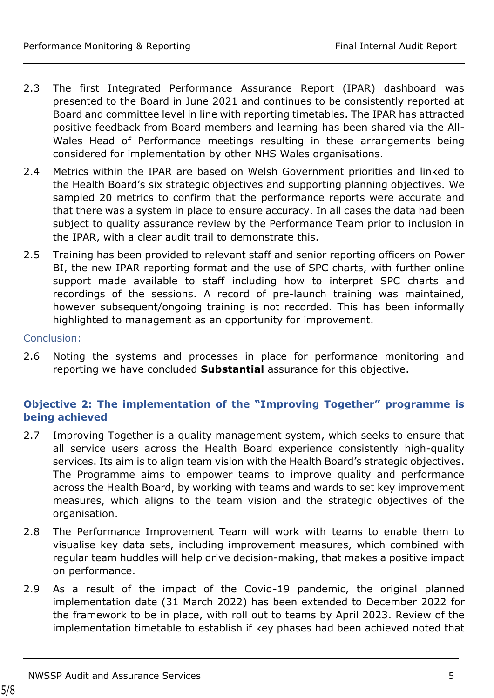- 2.3 The first Integrated Performance Assurance Report (IPAR) dashboard was presented to the Board in June 2021 and continues to be consistently reported at Board and committee level in line with reporting timetables. The IPAR has attracted positive feedback from Board members and learning has been shared via the All-Wales Head of Performance meetings resulting in these arrangements being considered for implementation by other NHS Wales organisations.
- 2.4 Metrics within the IPAR are based on Welsh Government priorities and linked to the Health Board's six strategic objectives and supporting planning objectives. We sampled 20 metrics to confirm that the performance reports were accurate and that there was a system in place to ensure accuracy. In all cases the data had been subject to quality assurance review by the Performance Team prior to inclusion in the IPAR, with a clear audit trail to demonstrate this.
- 2.5 Training has been provided to relevant staff and senior reporting officers on Power BI, the new IPAR reporting format and the use of SPC charts, with further online support made available to staff including how to interpret SPC charts and recordings of the sessions. A record of pre-launch training was maintained, however subsequent/ongoing training is not recorded. This has been informally highlighted to management as an opportunity for improvement.

#### Conclusion:

2.6 Noting the systems and processes in place for performance monitoring and reporting we have concluded **Substantial** assurance for this objective.

### **Objective 2: The implementation of the "Improving Together" programme is being achieved**

- 2.7 Improving Together is a quality management system, which seeks to ensure that all service users across the Health Board experience consistently high-quality services. Its aim is to align team vision with the Health Board's strategic objectives. The Programme aims to empower teams to improve quality and performance across the Health Board, by working with teams and wards to set key improvement measures, which aligns to the team vision and the strategic objectives of the organisation.
- 2.8 The Performance Improvement Team will work with teams to enable them to visualise key data sets, including improvement measures, which combined with regular team huddles will help drive decision-making, that makes a positive impact on performance.
- 2.9 As a result of the impact of the Covid-19 pandemic, the original planned implementation date (31 March 2022) has been extended to December 2022 for the framework to be in place, with roll out to teams by April 2023. Review of the implementation timetable to establish if key phases had been achieved noted that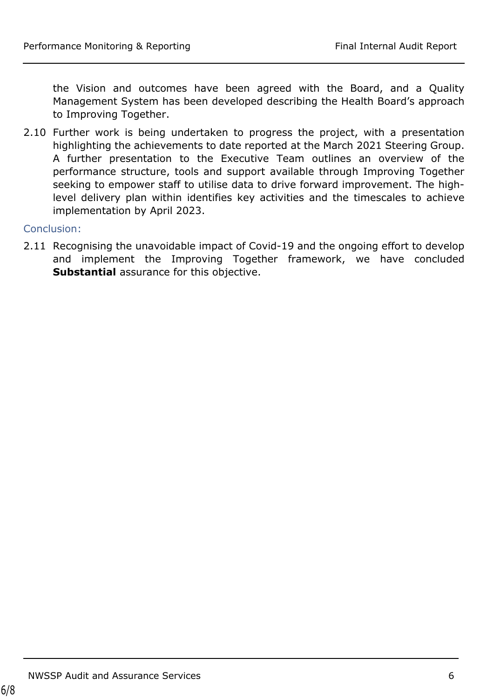the Vision and outcomes have been agreed with the Board, and a Quality Management System has been developed describing the Health Board's approach to Improving Together.

2.10 Further work is being undertaken to progress the project, with a presentation highlighting the achievements to date reported at the March 2021 Steering Group. A further presentation to the Executive Team outlines an overview of the performance structure, tools and support available through Improving Together seeking to empower staff to utilise data to drive forward improvement. The highlevel delivery plan within identifies key activities and the timescales to achieve implementation by April 2023.

Conclusion:

2.11 Recognising the unavoidable impact of Covid-19 and the ongoing effort to develop and implement the Improving Together framework, we have concluded **Substantial** assurance for this objective.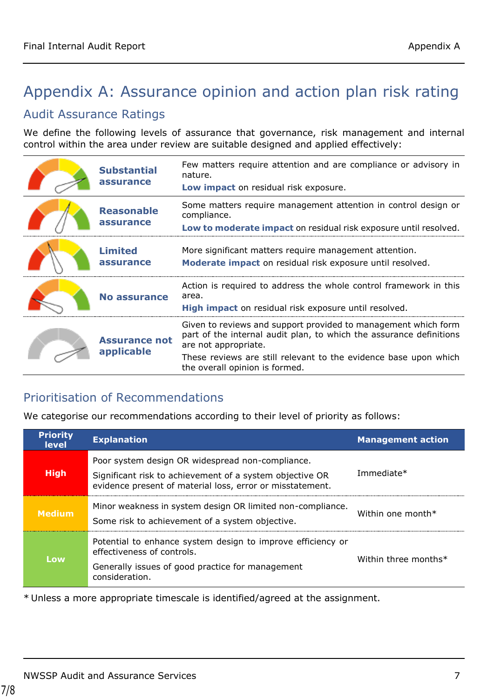# <span id="page-6-0"></span>Appendix A: Assurance opinion and action plan risk rating

### Audit Assurance Ratings

We define the following levels of assurance that governance, risk management and internal control within the area under review are suitable designed and applied effectively:

| <b>Substantial</b><br>assurance    | Few matters require attention and are compliance or advisory in<br>nature.<br>Low impact on residual risk exposure.                                                                                                                                                 |
|------------------------------------|---------------------------------------------------------------------------------------------------------------------------------------------------------------------------------------------------------------------------------------------------------------------|
| <b>Reasonable</b><br>assurance     | Some matters require management attention in control design or<br>compliance.<br>Low to moderate impact on residual risk exposure until resolved.                                                                                                                   |
| <b>Limited</b><br>assurance        | More significant matters require management attention.<br>Moderate impact on residual risk exposure until resolved.                                                                                                                                                 |
| No assurance                       | Action is required to address the whole control framework in this<br>area.<br>High impact on residual risk exposure until resolved.                                                                                                                                 |
| <b>Assurance not</b><br>applicable | Given to reviews and support provided to management which form<br>part of the internal audit plan, to which the assurance definitions<br>are not appropriate.<br>These reviews are still relevant to the evidence base upon which<br>the overall opinion is formed. |

### Prioritisation of Recommendations

We categorise our recommendations according to their level of priority as follows:

| <b>Priority</b><br><b>level</b> | <b>Explanation</b>                                                                                                                                                        | <b>Management action</b> |
|---------------------------------|---------------------------------------------------------------------------------------------------------------------------------------------------------------------------|--------------------------|
| <b>High</b>                     | Poor system design OR widespread non-compliance.<br>Significant risk to achievement of a system objective OR<br>evidence present of material loss, error or misstatement. | Immediate*               |
| <b>Medium</b>                   | Minor weakness in system design OR limited non-compliance.<br>Some risk to achievement of a system objective.                                                             | Within one month $*$     |
| Low                             | Potential to enhance system design to improve efficiency or<br>effectiveness of controls.<br>Generally issues of good practice for management<br>consideration.           | Within three months*     |

\* Unless a more appropriate timescale is identified/agreed at the assignment.